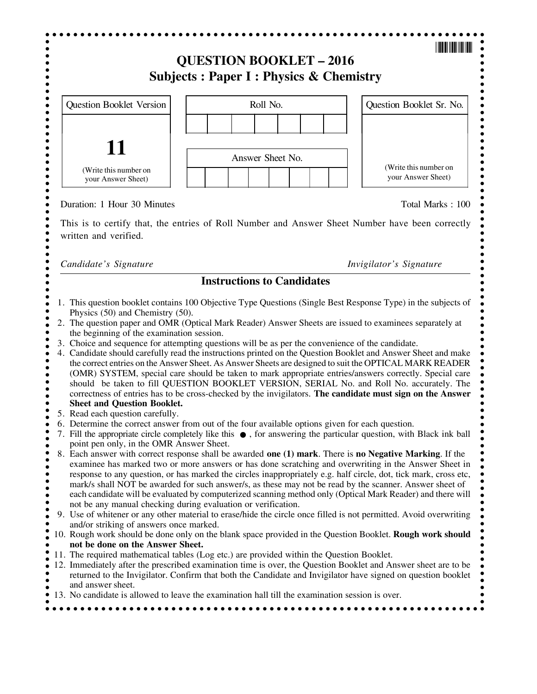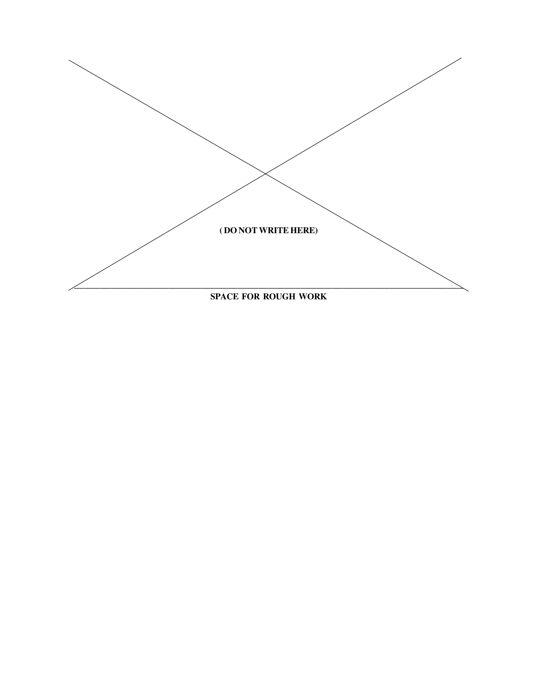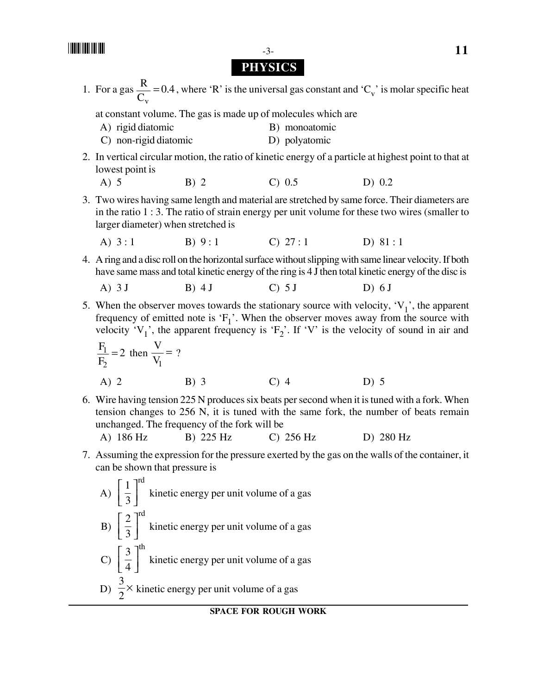## **PHYSICS**

1. For a gas  $\frac{R}{g} = 0.4$  $\mathcal{C}_{0}^{(n)}$ R v = 0.4, where 'R' is the universal gas constant and ' $C_v$ ' is molar specific heat

at constant volume. The gas is made up of molecules which are

- A) rigid diatomic B) monoatomic
- C) non-rigid diatomic D) polyatomic
- 2. In vertical circular motion, the ratio of kinetic energy of a particle at highest point to that at lowest point is
	- A) 5 B) 2 C) 0.5 D) 0.2
- 3. Two wires having same length and material are stretched by same force. Their diameters are in the ratio 1 : 3. The ratio of strain energy per unit volume for these two wires (smaller to larger diameter) when stretched is
	- A)  $3:1$  B)  $9:1$  C)  $27:1$  D)  $81:1$
- 4. A ring and a disc roll on the horizontal surface without slipping with same linear velocity. If both have same mass and total kinetic energy of the ring is 4 J then total kinetic energy of the disc is

A) 3 J B) 4 J C) 5 J D) 6 J

5. When the observer moves towards the stationary source with velocity,  $V_1$ , the apparent frequency of emitted note is  $F_1$ '. When the observer moves away from the source with velocity 'V<sub>1</sub>', the apparent frequency is 'F<sub>2</sub>'. If 'V' is the velocity of sound in air and

$$
\frac{F_1}{F_2} = 2 \text{ then } \frac{V}{V_1} = ?
$$
  
A) 2 \tB) 3 \tC) 4 \tD) 5

- 6. Wire having tension 225 N produces six beats per second when it is tuned with a fork. When tension changes to 256 N, it is tuned with the same fork, the number of beats remain unchanged. The frequency of the fork will be
	- A) 186 Hz B) 225 Hz C) 256 Hz D) 280 Hz
- 7. Assuming the expression for the pressure exerted by the gas on the walls of the container, it can be shown that pressure is

A) 
$$
\left[\frac{1}{3}\right]^{\text{rd}}
$$
 kinetic energy per unit volume of a gas  
\nB)  $\left[\frac{2}{3}\right]^{\text{rd}}$  kinetic energy per unit volume of a gas  
\nC)  $\left[\frac{3}{4}\right]^{\text{th}}$  kinetic energy per unit volume of a gas  
\nD)  $\frac{3}{2}$  kinetic energy per unit volume of a gas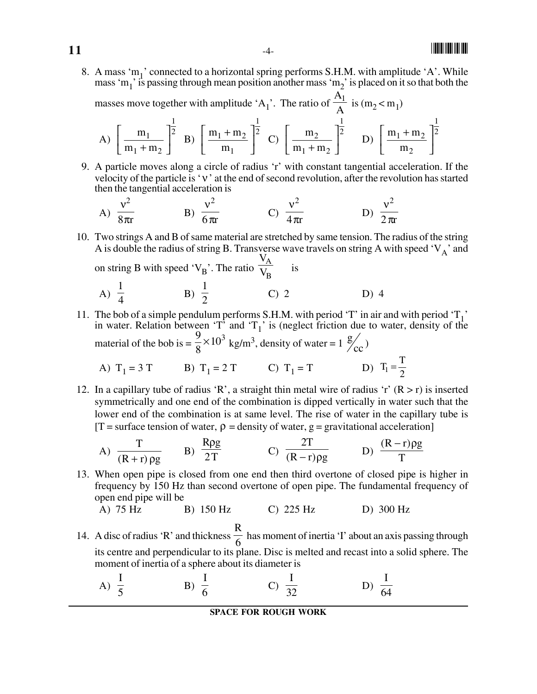## -

8. A mass 'm<sub>1</sub>' connected to a horizontal spring performs S.H.M. with amplitude 'A'. While mass 'm<sub>1</sub>' is passing through mean position another mass 'm<sub>2</sub>' is placed on it so that both the

masses move together with amplitude 'A<sub>1</sub>'. The ratio of  $\frac{A_1}{A}$  is  $(m_2 < m_1)$ 

A) 
$$
\left[\frac{m_1}{m_1 + m_2}\right]^{\frac{1}{2}}
$$
 B)  $\left[\frac{m_1 + m_2}{m_1}\right]^{\frac{1}{2}}$  C)  $\left[\frac{m_2}{m_1 + m_2}\right]^{\frac{1}{2}}$  D)  $\left[\frac{m_1 + m_2}{m_2}\right]^{\frac{1}{2}}$ 

9. A particle moves along a circle of radius 'r' with constant tangential acceleration. If the velocity of the particle is 'ν' at the end of second revolution, after the revolution has started then the tangential acceleration is

A) 
$$
\frac{v^2}{8\pi r}
$$
 \t\t B)  $\frac{v^2}{6\pi r}$  \t\t C)  $\frac{v^2}{4\pi r}$  \t\t D)  $\frac{v^2}{2\pi r}$ 

10. Two strings A and B of same material are stretched by same tension. The radius of the string A is double the radius of string B. Transverse wave travels on string A with speed  $V_A$ ' and  $V_A$ 

on string B with speed 'V<sub>B</sub>'. The ratio 
$$
\frac{A}{V_B}
$$
 is  
A)  $\frac{1}{4}$  \tB)  $\frac{1}{2}$  \tC) 2 \tD) 4

11. The bob of a simple pendulum performs S.H.M. with period 'T' in air and with period  $T_1$ ' in water. Relation between  $T_1$ <sup>t</sup> and  $T_1$ <sup>t</sup> is (neglect friction due to water, density of the material of the bob is  $=$   $\frac{9}{8} \times 10^3$  $\frac{9}{8}$  × 10<sup>3</sup> kg/m<sup>3</sup>, density of water = 1  $\frac{g}{c}$ )

A) 
$$
T_1 = 3 T
$$
   
B)  $T_1 = 2 T$    
C)  $T_1 = T$    
D)  $T_1 = \frac{T}{2}$ 

12. In a capillary tube of radius 'R', a straight thin metal wire of radius 'r'  $(R > r)$  is inserted symmetrically and one end of the combination is dipped vertically in water such that the lower end of the combination is at same level. The rise of water in the capillary tube is  $[T]$  = surface tension of water,  $\rho$  = density of water,  $g$  = gravitational acceleration

A) 
$$
\frac{T}{(R+r)\rho g}
$$
 \tB)  $\frac{R\rho g}{2T}$  \tC)  $\frac{2T}{(R-r)\rho g}$  \tD)  $\frac{(R-r)\rho g}{T}$ 

13. When open pipe is closed from one end then third overtone of closed pipe is higher in frequency by 150 Hz than second overtone of open pipe. The fundamental frequency of open end pipe will be

A) 75 Hz B) 150 Hz C) 225 Hz D) 300 Hz

- 14. A disc of radius 'R' and thickness  $\frac{1}{6}$ R has moment of inertia 'I' about an axis passing through its centre and perpendicular to its plane. Disc is melted and recast into a solid sphere. The moment of inertia of a sphere about its diameter is
	- A)  $\frac{1}{5}$ I B)  $\frac{1}{6}$ I C) I  $\frac{1}{32}$  D) I 64

#### **SPACE FOR ROUGH WORK**

**11**  $-4-$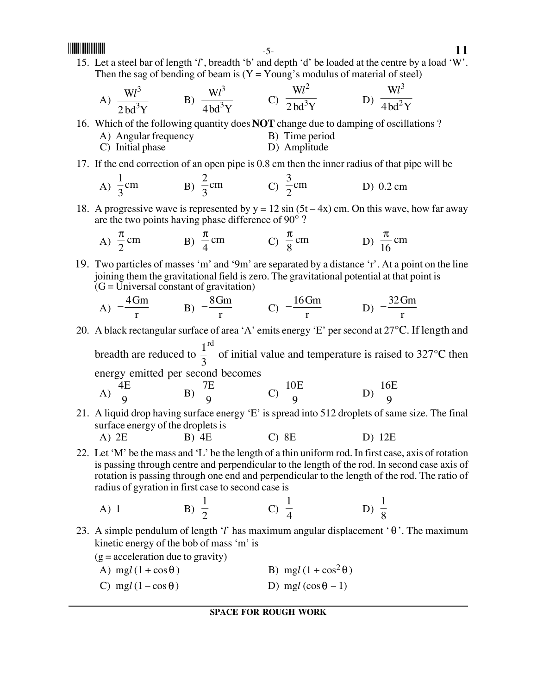15. Let a steel bar of length '*l*', breadth 'b' and depth 'd' be loaded at the centre by a load 'W'. Then the sag of bending of beam is  $(Y = Young's$  modulus of material of steel)

A) 
$$
\frac{Wl^3}{2bd^3Y}
$$
 \tB)  $\frac{Wl^3}{4bd^3Y}$  \tC)  $\frac{Wl^2}{2bd^3Y}$  \tD)  $\frac{Wl^3}{4bd^2Y}$ 

16. Which of the following quantity does **NOT** change due to damping of oscillations ?

- A) Angular frequency B) Time period C) Initial phase D) Amplitude
- 17. If the end correction of an open pipe is 0.8 cm then the inner radius of that pipe will be

A) 
$$
\frac{1}{3}
$$
cm B)  $\frac{2}{3}$ cm C)  $\frac{3}{2}$ cm D) 0.2 cm

18. A progressive wave is represented by  $y = 12 \sin (5t - 4x)$  cm. On this wave, how far away are the two points having phase difference of 90° ?

A) 
$$
\frac{\pi}{2}
$$
 cm  
B)  $\frac{\pi}{4}$  cm  
C)  $\frac{\pi}{8}$  cm  
D)  $\frac{\pi}{16}$  cm

19. Two particles of masses 'm' and '9m' are separated by a distance 'r'. At a point on the line joining them the gravitational field is zero. The gravitational potential at that point is  $\tilde{G} = \tilde{U}$ niversal constant of gravitation)

A) 
$$
-\frac{4Gm}{r}
$$
 \tB)  $-\frac{8Gm}{r}$  \tC)  $-\frac{16Gm}{r}$  \tD)  $-\frac{32Gm}{r}$ 

20. A black rectangular surface of area 'A' emits energy 'E' per second at 27°C. If length and breadth are reduced to rd  $\frac{1}{2}$  of initial value and temperature is raised to 327°C then

3 energy emitted per second becomes

A) 
$$
\frac{4E}{9}
$$
 \t\t B)  $\frac{7E}{9}$  \t\t C)  $\frac{10E}{9}$  \t\t D)  $\frac{16E}{9}$ 

21. A liquid drop having surface energy 'E' is spread into 512 droplets of same size. The final surface energy of the droplets is

A) 
$$
2E
$$
 B)  $4E$  C)  $8E$  D)  $12E$ 

22. Let 'M' be the mass and 'L' be the length of a thin uniform rod. In first case, axis of rotation is passing through centre and perpendicular to the length of the rod. In second case axis of rotation is passing through one end and perpendicular to the length of the rod. The ratio of radius of gyration in first case to second case is

A) 1 \tB) 
$$
\frac{1}{2}
$$
 \tC)  $\frac{1}{4}$  \tD)  $\frac{1}{8}$ 

- 23. A simple pendulum of length '*l*' has maximum angular displacement ' θ'. The maximum kinetic energy of the bob of mass 'm' is
	- $(g = acceleration due to gravity)$
	- A) mg $l(1 + \cos\theta)$  B) mg $l(1 + \cos^2\theta)$
	- C) mg $l(1-\cos\theta)$  D) mg $l(\cos\theta 1)$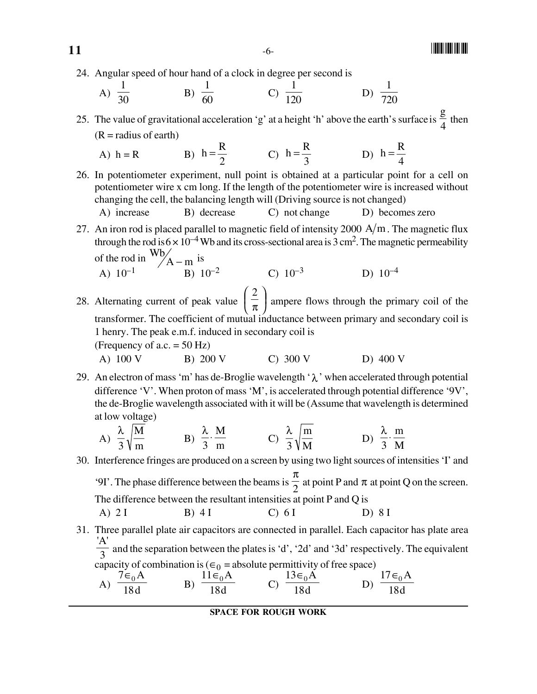24. Angular speed of hour hand of a clock in degree per second is

A) 
$$
\frac{1}{30}
$$
 \t\t B)  $\frac{1}{60}$  \t\t C)  $\frac{1}{120}$  \t\t D)  $\frac{1}{720}$ 

25. The value of gravitational acceleration 'g' at a height 'h' above the earth's surface is  $\frac{8}{4}$  $\frac{g}{4}$  then  $(R = radius of earth)$ 

A) 
$$
h = R
$$
 \t\t B)  $h = \frac{R}{2}$  \t\t C)  $h = \frac{R}{3}$  \t\t D)  $h = \frac{R}{4}$ 

26. In potentiometer experiment, null point is obtained at a particular point for a cell on potentiometer wire x cm long. If the length of the potentiometer wire is increased without changing the cell, the balancing length will (Driving source is not changed)

A) increase B) decrease C) not change D) becomes zero

27. An iron rod is placed parallel to magnetic field of intensity 2000  $A/m$ . The magnetic flux through the rod is  $6 \times 10^{-4}$  Wb and its cross-sectional area is 3 cm<sup>2</sup>. The magnetic permeability of the rod in  $\frac{\text{Wb}}{\text{A}-\text{m}}$  is

A) 
$$
10^{-1}
$$
 A – m<sup>2</sup> B)  $10^{-2}$  C)  $10^{-3}$  D)  $10^{-4}$ 

- 28. Alternating current of peak value  $\frac{2}{x}$  $\overline{a}$  $\left(\frac{2}{\pi}\right)^{3}$ ⎝ ⎛ π 2 ampere flows through the primary coil of the transformer. The coefficient of mutual inductance between primary and secondary coil is 1 henry. The peak e.m.f. induced in secondary coil is (Frequency of a.c.  $= 50$  Hz)
	- A) 100 V B) 200 V C) 300 V D) 400 V
- 29. An electron of mass 'm' has de-Broglie wavelength ' $\lambda$ ' when accelerated through potential difference 'V'. When proton of mass 'M', is accelerated through potential difference '9V', the de-Broglie wavelength associated with it will be (Assume that wavelength is determined at low voltage)

A) 
$$
\frac{\lambda}{3} \sqrt{\frac{M}{m}}
$$
 \tB)  $\frac{\lambda}{3} \cdot \frac{M}{m}$  \tC)  $\frac{\lambda}{3} \sqrt{\frac{m}{M}}$  \tD)  $\frac{\lambda}{3} \cdot \frac{m}{M}$ 

- 30. Interference fringes are produced on a screen by using two light sources of intensities 'I' and '9I'. The phase difference between the beams is  $\frac{1}{2}$ π at point P and  $\pi$  at point Q on the screen. The difference between the resultant intensities at point P and Q is A) 2 I B) 4 I C) 6 I D) 8 I
- 31. Three parallel plate air capacitors are connected in parallel. Each capacitor has plate area 'A'  $\frac{1}{3}$  and the separation between the plates is 'd', '2d' and '3d' respectively. The equivalent capacity of combination is ( $\epsilon_0$  = absolute permittivity of free space)

A) 
$$
\frac{7\epsilon_0 A}{18d}
$$
 \tB)  $\frac{11\epsilon_0 A}{18d}$  \tC)  $\frac{13\epsilon_0 A}{18d}$  \tD)  $\frac{17\epsilon_0 A}{18d}$ 

#### **SPACE FOR ROUGH WORK**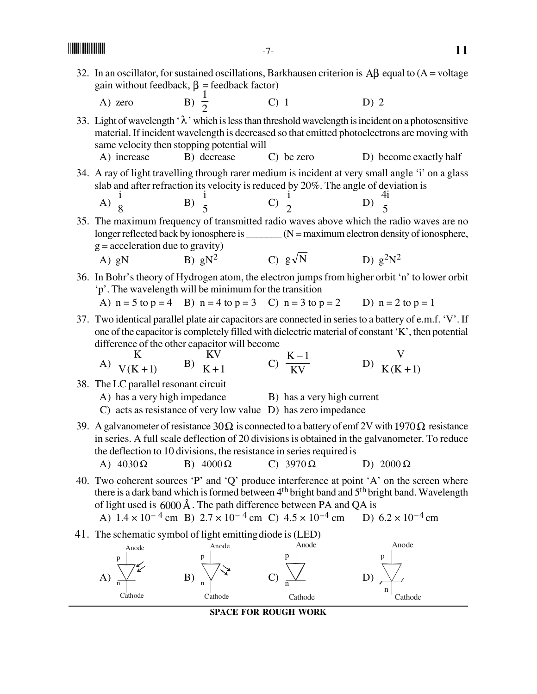- 32. In an oscillator, for sustained oscillations, Barkhausen criterion is  $\mathbf{A}\mathbf{\beta}$  equal to (A = voltage gain without feedback,  $\beta$  = feedback factor)
	- A) zero  $B$ ) 1 C) 1 D) 2

33. Light of wavelength ' $\lambda$ ' which is less than threshold wavelength is incident on a photosensitive material. If incident wavelength is decreased so that emitted photoelectrons are moving with same velocity then stopping potential will

- A) increase B) decrease C) be zero D) become exactly half
- 34. A ray of light travelling through rarer medium is incident at very small angle 'i' on a glass slab and after refraction its velocity is reduced by 20%. The angle of deviation is 4i

A) 
$$
\frac{1}{8}
$$
 \t\t B)  $\frac{1}{5}$  \t\t C)  $\frac{1}{2}$  \t\t D)

35. The maximum frequency of transmitted radio waves above which the radio waves are no longer reflected back by ionosphere is \_\_\_\_\_\_\_ (N = maximum electron density of ionosphere,  $g = acceleration$  due to gravity) A) gN B) g $N^2$  C) g $\sqrt{N}$  D) g<sup>2</sup>N<sup>2</sup>

- 36. In Bohr's theory of Hydrogen atom, the electron jumps from higher orbit 'n' to lower orbit 'p'. The wavelength will be minimum for the transition
	- A)  $n = 5$  to  $p = 4$  B)  $n = 4$  to  $p = 3$  C)  $n = 3$  to  $p = 2$  D)  $n = 2$  to  $p = 1$
- 37. Two identical parallel plate air capacitors are connected in series to a battery of e.m.f. 'V'. If one of the capacitor is completely filled with dielectric material of constant 'K', then potential difference of the other capacitor will become

A) 
$$
\frac{K}{V(K+1)}
$$
 B)  $\frac{KV}{K+1}$  C)  $\frac{K-1}{KV}$  D)  $\frac{V}{K(K+1)}$ 

- 38. The LC parallel resonant circuit
	- A) has a very high impedance B) has a very high current
	- C) acts as resistance of very low value D) has zero impedance
- 39. A galvanometer of resistance  $30\Omega$  is connected to a battery of emf 2V with 1970  $\Omega$  resistance in series. A full scale deflection of 20 divisions is obtained in the galvanometer. To reduce the deflection to 10 divisions, the resistance in series required is
	- A)  $4030 \Omega$  B)  $4000 \Omega$  C)  $3970 \Omega$  D)  $2000 \Omega$
- 40. Two coherent sources 'P' and 'Q' produce interference at point 'A' on the screen where there is a dark band which is formed between 4<sup>th</sup> bright band and 5<sup>th</sup> bright band. Wavelength of light used is  $6000 \text{\AA}$ . The path difference between PA and QA is

A)  $1.4 \times 10^{-4}$  cm B)  $2.7 \times 10^{-4}$  cm C)  $4.5 \times 10^{-4}$  cm D)  $6.2 \times 10^{-4}$  cm

41. The schematic symbol of light emitting diode is (LED)





 $\overline{5}$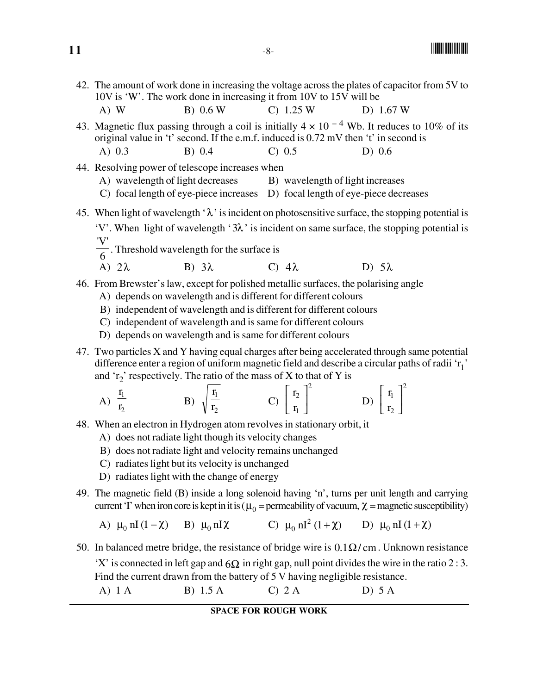42. The amount of work done in increasing the voltage across the plates of capacitor from 5V to 10V is 'W'. The work done in increasing it from 10V to 15V will be A) W B) 0.6 W C) 1.25 W D) 1.67 W

43. Magnetic flux passing through a coil is initially  $4 \times 10^{-4}$  Wb. It reduces to 10% of its original value in 't' second. If the e.m.f. induced is 0.72 mV then 't' in second is A) 0.3 B) 0.4 C) 0.5 D) 0.6

- 44. Resolving power of telescope increases when
	- A) wavelength of light decreases B) wavelength of light increases
	- C) focal length of eye-piece increases D) focal length of eye-piece decreases
- 45. When light of wavelength ' $\lambda$ ' is incident on photosensitive surface, the stopping potential is 'V'. When light of wavelength '3λ' is incident on same surface, the stopping potential is
	- 'V'  $\frac{1}{6}$ . Threshold wavelength for the surface is
	- A)  $2\lambda$  B)  $3\lambda$  C)  $4\lambda$  D)  $5\lambda$
- 46. From Brewster's law, except for polished metallic surfaces, the polarising angle
	- A) depends on wavelength and is different for different colours
	- B) independent of wavelength and is different for different colours
	- C) independent of wavelength and is same for different colours
	- D) depends on wavelength and is same for different colours
- 47. Two particles X and Y having equal charges after being accelerated through same potential difference enter a region of uniform magnetic field and describe a circular paths of radii ' $r_1$ ' and ' $r_2$ ' respectively. The ratio of the mass of X to that of Y is

A) 
$$
\frac{r_1}{r_2}
$$
 \t\t B)  $\sqrt{\frac{r_1}{r_2}}$  \t\t C)  $\left[\frac{r_2}{r_1}\right]^2$  \t\t D)  $\left[\frac{r_1}{r_2}\right]^2$ 

- 48. When an electron in Hydrogen atom revolves in stationary orbit, it
	- A) does not radiate light though its velocity changes
	- B) does not radiate light and velocity remains unchanged
	- C) radiates light but its velocity is unchanged
	- D) radiates light with the change of energy
- 49. The magnetic field (B) inside a long solenoid having 'n', turns per unit length and carrying current 'I' when iron core is kept in it is ( $\mu_0$  = permeability of vacuum,  $\chi$  = magnetic susceptibility)

A)  $\mu_0$  nI (1 -  $\chi$ ) B)  $\mu_0$  nI $\chi$  C)  $\mu_0$  nI<sup>2</sup> (1 +  $\chi$ ) D)  $\mu_0$  nI (1 +  $\chi$ )

50. In balanced metre bridge, the resistance of bridge wire is  $0.1\Omega$ / cm. Unknown resistance 'X' is connected in left gap and  $6\Omega$  in right gap, null point divides the wire in the ratio 2 : 3. Find the current drawn from the battery of 5 V having negligible resistance. A) 1 A B) 1.5 A C) 2 A D) 5 A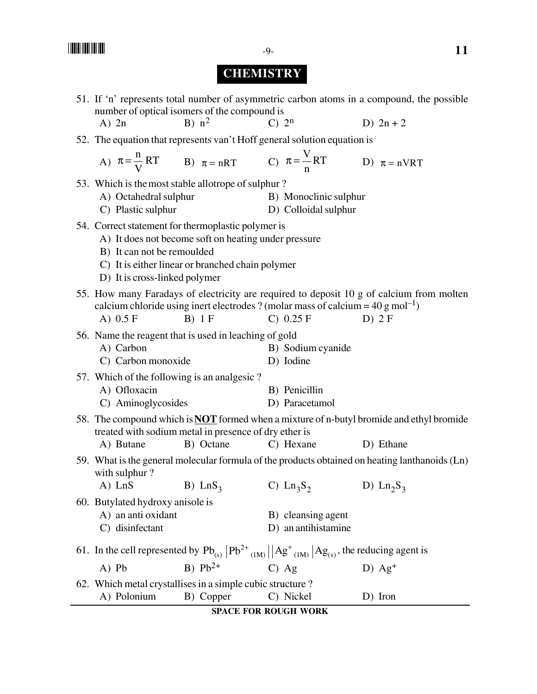## **CHEMISTRY**

51. If 'n' represents total number of asymmetric carbon atoms in a compound, the possible number of optical isomers of the compound is A) 2n B)  $n^2$  C)  $2^n$  D)  $2n + 2$ 52. The equation that represents van't Hoff general solution equation is A)  $\pi = \frac{n}{N} RT$ B)  $\pi = nRT$ C)  $\pi = \frac{V}{n}RT$ D)  $\pi = nVRT$ 53. Which is the most stable allotrope of sulphur ? A) Octahedral sulphur B) Monoclinic sulphur C) Plastic sulphur D) Colloidal sulphur 54. Correct statement for thermoplastic polymer is A) It does not become soft on heating under pressure B) It can not be remoulded C) It is either linear or branched chain polymer D) It is cross-linked polymer 55. How many Faradays of electricity are required to deposit 10 g of calcium from molten calcium chloride using inert electrodes ? (molar mass of calcium =  $40 \text{ g mol}^{-1}$ ) A) 0.5 F B) 1 F C) 0.25 F D) 2 F 56. Name the reagent that is used in leaching of gold A) Carbon B) Sodium cyanide C) Carbon monoxide D) Iodine 57. Which of the following is an analgesic ? A) Ofloxacin B) Penicillin C) Aminoglycosides D) Paracetamol 58. The compound which is **NOT** formed when a mixture of n-butyl bromide and ethyl bromide treated with sodium metal in presence of dry ether is A) Butane B) Octane C) Hexane D) Ethane 59. What is the general molecular formula of the products obtained on heating lanthanoids (Ln) with sulphur ? A) LnS B) LnS<sub>3</sub> C) Ln<sub>3</sub>S<sub>2</sub> D) Ln<sub>2</sub>S<sub>3</sub> 60. Butylated hydroxy anisole is A) an anti oxidant B) cleansing agent C) disinfectant D) an antihistamine 61. In the cell represented by  $Pb_{(s)}$   $Pb^{2+}$   $_{(1M)}$   $\left|\text{Ag}^+\text{$_{(1M)}$}\right|$   $\text{Ag}_{(s)}$ , the reducing agent is A) Pb B)  $Pb^{2+}$  C) Ag D)  $Ag^+$ 62. Which metal crystallises in a simple cubic structure ? A) Polonium B) Copper C) Nickel D) Iron

**SPACE FOR ROUGH WORK**

 $\blacksquare$   $\blacksquare$   $\blacksquare$   $\blacksquare$   $\blacksquare$   $\blacksquare$   $\blacksquare$   $\blacksquare$   $\blacksquare$   $\blacksquare$   $\blacksquare$   $\blacksquare$   $\blacksquare$   $\blacksquare$   $\blacksquare$   $\blacksquare$   $\blacksquare$   $\blacksquare$   $\blacksquare$   $\blacksquare$   $\blacksquare$   $\blacksquare$   $\blacksquare$   $\blacksquare$   $\blacksquare$   $\blacksquare$   $\blacksquare$   $\blacksquare$   $\blacksquare$   $\blacksquare$   $\blacksquare$   $\blacks$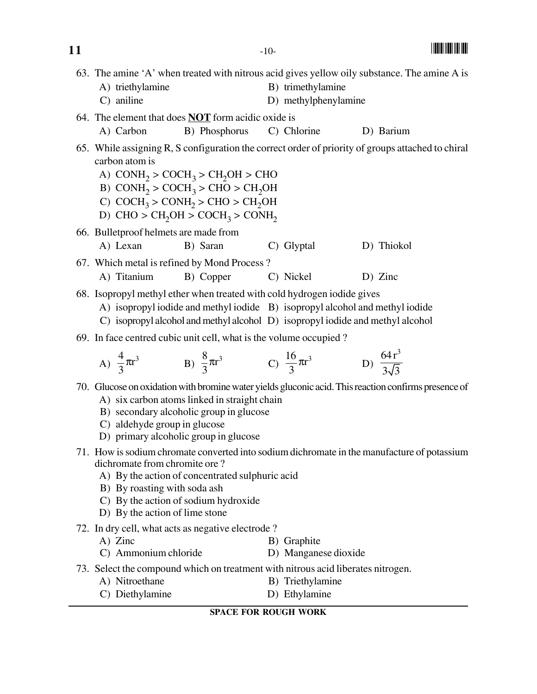| 11                                                                                                                                                                                                                                        |                                                                                                                                                                                                                                                                                                          | $-10-$                                    |                              |  |  |  |  |  |  |  |  |  |
|-------------------------------------------------------------------------------------------------------------------------------------------------------------------------------------------------------------------------------------------|----------------------------------------------------------------------------------------------------------------------------------------------------------------------------------------------------------------------------------------------------------------------------------------------------------|-------------------------------------------|------------------------------|--|--|--|--|--|--|--|--|--|
|                                                                                                                                                                                                                                           | 63. The amine 'A' when treated with nitrous acid gives yellow oily substance. The amine A is<br>A) triethylamine<br>C) aniline                                                                                                                                                                           | B) trimethylamine<br>D) methylphenylamine |                              |  |  |  |  |  |  |  |  |  |
|                                                                                                                                                                                                                                           | 64. The element that does $\overline{NOT}$ form acidic oxide is<br>B) Phosphorus<br>A) Carbon                                                                                                                                                                                                            | C) Chlorine                               | D) Barium                    |  |  |  |  |  |  |  |  |  |
|                                                                                                                                                                                                                                           | 65. While assigning R, S configuration the correct order of priority of groups attached to chiral<br>carbon atom is<br>A) $CONH2 > COCH3 > CH2OH >CHO$<br>B) $COMH2 > COCH3 > CHO > CH2OH$<br>C) $COCH_3 > COMH_2 > CHO > CH_2OH$<br>D) CHO > CH <sub>2</sub> OH > COCH <sub>3</sub> > CONH <sub>2</sub> |                                           |                              |  |  |  |  |  |  |  |  |  |
|                                                                                                                                                                                                                                           | 66. Bulletproof helmets are made from<br>A) Lexan<br>B) Saran                                                                                                                                                                                                                                            | C) Glyptal                                | D) Thiokol                   |  |  |  |  |  |  |  |  |  |
|                                                                                                                                                                                                                                           | 67. Which metal is refined by Mond Process?<br>A) Titanium<br>B) Copper                                                                                                                                                                                                                                  | C) Nickel                                 | $D)$ Zinc                    |  |  |  |  |  |  |  |  |  |
| 68. Isopropyl methyl ether when treated with cold hydrogen iodide gives<br>A) isopropyl iodide and methyl iodide B) isopropyl alcohol and methyl iodide<br>C) isopropyl alcohol and methyl alcohol D) isopropyl iodide and methyl alcohol |                                                                                                                                                                                                                                                                                                          |                                           |                              |  |  |  |  |  |  |  |  |  |
|                                                                                                                                                                                                                                           | 69. In face centred cubic unit cell, what is the volume occupied?                                                                                                                                                                                                                                        |                                           |                              |  |  |  |  |  |  |  |  |  |
|                                                                                                                                                                                                                                           | A) $\frac{4}{3}\pi r^3$ B) $\frac{8}{3}\pi r^3$ C) $\frac{16}{3}\pi r^3$                                                                                                                                                                                                                                 |                                           | D) $\frac{64r^3}{3\sqrt{3}}$ |  |  |  |  |  |  |  |  |  |
|                                                                                                                                                                                                                                           | 70. Glucose on oxidation with bromine water yields gluconic acid. This reaction confirms presence of<br>A) six carbon atoms linked in straight chain<br>B) secondary alcoholic group in glucose<br>C) aldehyde group in glucose<br>D) primary alcoholic group in glucose                                 |                                           |                              |  |  |  |  |  |  |  |  |  |
|                                                                                                                                                                                                                                           | 71. How is sodium chromate converted into sodium dichromate in the manufacture of potassium<br>dichromate from chromite ore?<br>A) By the action of concentrated sulphuric acid<br>B) By roasting with soda ash<br>C) By the action of sodium hydroxide<br>D) By the action of lime stone                |                                           |                              |  |  |  |  |  |  |  |  |  |
|                                                                                                                                                                                                                                           | 72. In dry cell, what acts as negative electrode?<br>A) Zinc<br>C) Ammonium chloride                                                                                                                                                                                                                     | B) Graphite<br>D) Manganese dioxide       |                              |  |  |  |  |  |  |  |  |  |
|                                                                                                                                                                                                                                           | 73. Select the compound which on treatment with nitrous acid liberates nitrogen.<br>A) Nitroethane<br>C) Diethylamine                                                                                                                                                                                    | B) Triethylamine<br>D) Ethylamine         |                              |  |  |  |  |  |  |  |  |  |
|                                                                                                                                                                                                                                           |                                                                                                                                                                                                                                                                                                          | <b>SPACE FOR ROUGH WORK</b>               |                              |  |  |  |  |  |  |  |  |  |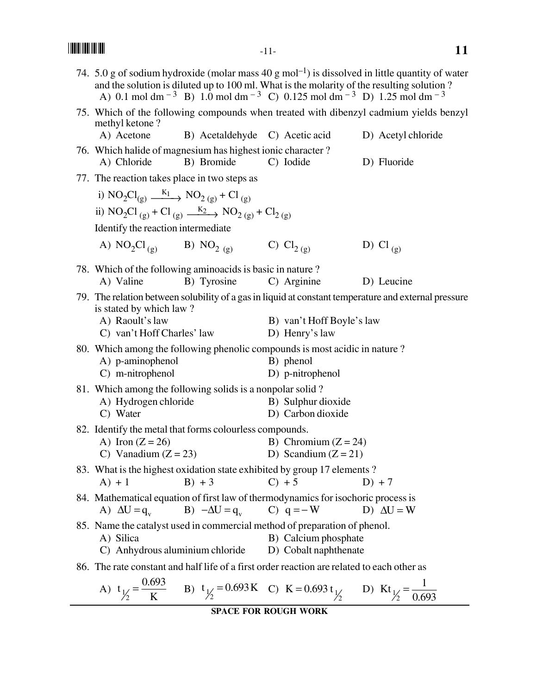|                                                                                            | and the solution is diluted up to 100 ml. What is the molarity of the resulting solution?<br>A) 0.1 mol dm <sup>-3</sup> B) 1.0 mol dm <sup>-3</sup> C) 0.125 mol dm <sup>-3</sup> D) 1.25 mol dm <sup>-3</sup> |  |                                         |                    | 74. 5.0 g of sodium hydroxide (molar mass 40 g mol <sup>-1</sup> ) is dissolved in little quantity of water |  |  |  |  |  |  |  |
|--------------------------------------------------------------------------------------------|-----------------------------------------------------------------------------------------------------------------------------------------------------------------------------------------------------------------|--|-----------------------------------------|--------------------|-------------------------------------------------------------------------------------------------------------|--|--|--|--|--|--|--|
| methyl ketone?                                                                             |                                                                                                                                                                                                                 |  |                                         |                    | 75. Which of the following compounds when treated with dibenzyl cadmium yields benzyl                       |  |  |  |  |  |  |  |
| A) Acetone                                                                                 | B) Acetaldehyde C) Acetic acid                                                                                                                                                                                  |  |                                         | D) Acetyl chloride |                                                                                                             |  |  |  |  |  |  |  |
| 76. Which halide of magnesium has highest ionic character?<br>A) Chloride                  | B) Bromide                                                                                                                                                                                                      |  | C) Iodide                               |                    | D) Fluoride                                                                                                 |  |  |  |  |  |  |  |
| 77. The reaction takes place in two steps as                                               |                                                                                                                                                                                                                 |  |                                         |                    |                                                                                                             |  |  |  |  |  |  |  |
| i) $NO_2Cl_{(g)} \xrightarrow{K_1} NO_{2(g)} + Cl_{(g)}$                                   |                                                                                                                                                                                                                 |  |                                         |                    |                                                                                                             |  |  |  |  |  |  |  |
| ii) $NO_2Cl_{(g)} + Cl_{(g)} \xrightarrow{K_2} NO_{2(g)} + Cl_{2(g)}$                      |                                                                                                                                                                                                                 |  |                                         |                    |                                                                                                             |  |  |  |  |  |  |  |
| Identify the reaction intermediate                                                         |                                                                                                                                                                                                                 |  |                                         |                    |                                                                                                             |  |  |  |  |  |  |  |
| A) $NO_2Cl_{(g)}$ B) $NO_{2(g)}$                                                           |                                                                                                                                                                                                                 |  | C) $Cl_{2(g)}$                          |                    | D) Cl $_{(g)}$                                                                                              |  |  |  |  |  |  |  |
| 78. Which of the following aminoacids is basic in nature?                                  |                                                                                                                                                                                                                 |  |                                         |                    |                                                                                                             |  |  |  |  |  |  |  |
| A) Valine                                                                                  | B) Tyrosine                                                                                                                                                                                                     |  | C) Arginine                             |                    | D) Leucine                                                                                                  |  |  |  |  |  |  |  |
| is stated by which law?                                                                    |                                                                                                                                                                                                                 |  |                                         |                    | 79. The relation between solubility of a gas in liquid at constant temperature and external pressure        |  |  |  |  |  |  |  |
| A) Raoult's law                                                                            |                                                                                                                                                                                                                 |  | B) van't Hoff Boyle's law               |                    |                                                                                                             |  |  |  |  |  |  |  |
| C) van't Hoff Charles' law                                                                 |                                                                                                                                                                                                                 |  | D) Henry's law                          |                    |                                                                                                             |  |  |  |  |  |  |  |
| 80. Which among the following phenolic compounds is most acidic in nature?                 |                                                                                                                                                                                                                 |  |                                         |                    |                                                                                                             |  |  |  |  |  |  |  |
| A) p-aminophenol                                                                           |                                                                                                                                                                                                                 |  | B) phenol                               |                    |                                                                                                             |  |  |  |  |  |  |  |
| C) m-nitrophenol                                                                           |                                                                                                                                                                                                                 |  | D) p-nitrophenol                        |                    |                                                                                                             |  |  |  |  |  |  |  |
| 81. Which among the following solids is a nonpolar solid?                                  |                                                                                                                                                                                                                 |  |                                         |                    |                                                                                                             |  |  |  |  |  |  |  |
| A) Hydrogen chloride<br>C) Water                                                           |                                                                                                                                                                                                                 |  | B) Sulphur dioxide<br>D) Carbon dioxide |                    |                                                                                                             |  |  |  |  |  |  |  |
| 82. Identify the metal that forms colourless compounds.                                    |                                                                                                                                                                                                                 |  |                                         |                    |                                                                                                             |  |  |  |  |  |  |  |
| A) Iron $(Z = 26)$                                                                         |                                                                                                                                                                                                                 |  | B) Chromium $(Z = 24)$                  |                    |                                                                                                             |  |  |  |  |  |  |  |
| C) Vanadium $(Z = 23)$                                                                     |                                                                                                                                                                                                                 |  | D) Scandium $(Z = 21)$                  |                    |                                                                                                             |  |  |  |  |  |  |  |
| 83. What is the highest oxidation state exhibited by group 17 elements?                    |                                                                                                                                                                                                                 |  |                                         |                    |                                                                                                             |  |  |  |  |  |  |  |
| $A) + 1$                                                                                   | $B) + 3$                                                                                                                                                                                                        |  | $C$ ) + 5                               |                    | $D$ ) + 7                                                                                                   |  |  |  |  |  |  |  |
| 84. Mathematical equation of first law of thermodynamics for isochoric process is          | A) $\Delta U = q_v$ B) $-\Delta U = q_v$ C) $q = -W$                                                                                                                                                            |  |                                         |                    | D) $\Delta U = W$                                                                                           |  |  |  |  |  |  |  |
| 85. Name the catalyst used in commercial method of preparation of phenol.                  |                                                                                                                                                                                                                 |  |                                         |                    |                                                                                                             |  |  |  |  |  |  |  |
| A) Silica                                                                                  |                                                                                                                                                                                                                 |  | B) Calcium phosphate                    |                    |                                                                                                             |  |  |  |  |  |  |  |
| C) Anhydrous aluminium chloride                                                            |                                                                                                                                                                                                                 |  | D) Cobalt naphthenate                   |                    |                                                                                                             |  |  |  |  |  |  |  |
| 86. The rate constant and half life of a first order reaction are related to each other as |                                                                                                                                                                                                                 |  |                                         |                    |                                                                                                             |  |  |  |  |  |  |  |
|                                                                                            | A) $t_{\frac{1}{2}} = \frac{0.693}{K}$ B) $t_{\frac{1}{2}} = 0.693 K$ C) $K = 0.693 t_{\frac{1}{2}}$ D) $Kt_{\frac{1}{2}} = \frac{1}{0.693}$                                                                    |  |                                         |                    |                                                                                                             |  |  |  |  |  |  |  |

$$
\frac{K}{2}
$$

```
SPACE FOR ROUGH WORK
```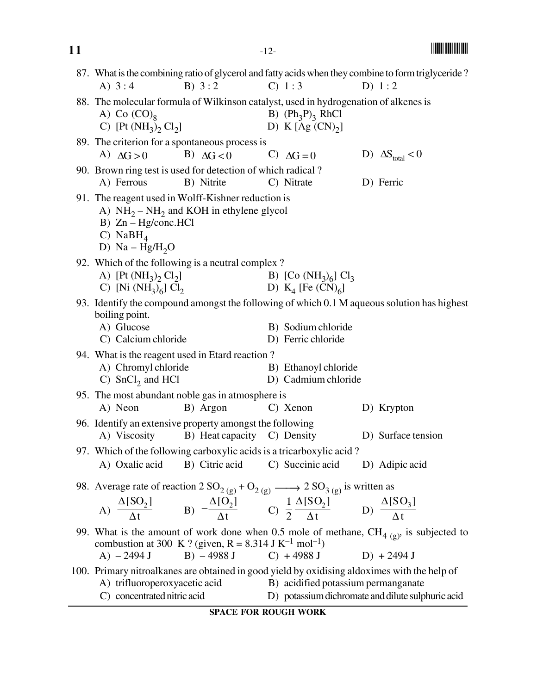| 11 |                                                                                                                                                                                                                                                               | $-12-$                                                         |                                                   |
|----|---------------------------------------------------------------------------------------------------------------------------------------------------------------------------------------------------------------------------------------------------------------|----------------------------------------------------------------|---------------------------------------------------|
|    | 87. What is the combining ratio of glycerol and fatty acids when they combine to form triglyceride?<br>B) $3:2$<br>A) $3:4$                                                                                                                                   | C) 1:3                                                         | D) $1:2$                                          |
|    | 88. The molecular formula of Wilkinson catalyst, used in hydrogenation of alkenes is<br>A) Co $(CO)_{8}$<br>C) [Pt $(NH_3)_2$ Cl <sub>2</sub> ]                                                                                                               | B) $(Ph_3P)_3$ RhCl<br>D) K $[Ag (CN)2]$                       |                                                   |
|    | 89. The criterion for a spontaneous process is<br>A) $\Delta G > 0$<br>B) $\Delta G < 0$                                                                                                                                                                      | C) $\Delta G = 0$                                              | D) $\Delta S_{total} < 0$                         |
|    | 90. Brown ring test is used for detection of which radical?<br>B) Nitrite<br>A) Ferrous                                                                                                                                                                       | C) Nitrate                                                     | D) Ferric                                         |
|    | 91. The reagent used in Wolff-Kishner reduction is<br>A) $NH_2-NH_2$ and KOH in ethylene glycol<br>$B)$ Zn – Hg/conc.HCl<br>C) NaB $H_4$<br>D) $Na-Hg/H2O$                                                                                                    |                                                                |                                                   |
|    | 92. Which of the following is a neutral complex?<br>A) [Pt $(NH_3)_2$ Cl <sub>2</sub> ]<br>C) [Ni $(NH_3)_6$ ] Cl <sub>2</sub>                                                                                                                                | B) [Co $(NH_3)_6$ ] Cl <sub>3</sub><br>D) $K_4$ [Fe $(CN)_6$ ] |                                                   |
|    | 93. Identify the compound amongst the following of which 0.1 M aqueous solution has highest<br>boiling point.<br>A) Glucose<br>C) Calcium chloride                                                                                                            | B) Sodium chloride<br>D) Ferric chloride                       |                                                   |
|    | 94. What is the reagent used in Etard reaction?<br>A) Chromyl chloride<br>C) $SnCl2$ and HCl                                                                                                                                                                  | B) Ethanoyl chloride<br>D) Cadmium chloride                    |                                                   |
|    | 95. The most abundant noble gas in atmosphere is<br>A) Neon<br>B) Argon                                                                                                                                                                                       | C) Xenon                                                       | D) Krypton                                        |
|    | 96. Identify an extensive property amongst the following<br>A) Viscosity B) Heat capacity C) Density                                                                                                                                                          |                                                                | D) Surface tension                                |
|    | 97. Which of the following carboxylic acids is a tricarboxylic acid?<br>A) Oxalic acid<br>B) Citric acid                                                                                                                                                      | C) Succinic acid                                               | D) Adipic acid                                    |
|    | 98. Average rate of reaction 2 $SO_{2(g)} + O_{2(g)} \longrightarrow 2 SO_{3(g)}$ is written as<br>A) $\frac{\Delta [SO_2]}{\Delta t}$ B) $-\frac{\Delta [O_2]}{\Delta t}$ C) $\frac{1}{2}\frac{\Delta [SO_2]}{\Delta t}$ D) $\frac{\Delta [SO_3]}{\Delta t}$ |                                                                |                                                   |
|    | 99. What is the amount of work done when 0.5 mole of methane, $CH_{4(g)}$ is subjected to<br>combustion at 300 K ? (given, R = 8.314 J K <sup>-1</sup> mol <sup>-1</sup> )<br>$B) - 4988 J$<br>$A) - 2494 J$                                                  | $C) + 4988 J$                                                  | $D) + 2494 J$                                     |
|    | 100. Primary nitroalkanes are obtained in good yield by oxidising aldoximes with the help of<br>A) trifluoroperoxyacetic acid<br>C) concentrated nitric acid                                                                                                  | B) acidified potassium permanganate                            | D) potassium dichromate and dilute sulphuric acid |

**SPACE FOR ROUGH WORK**

-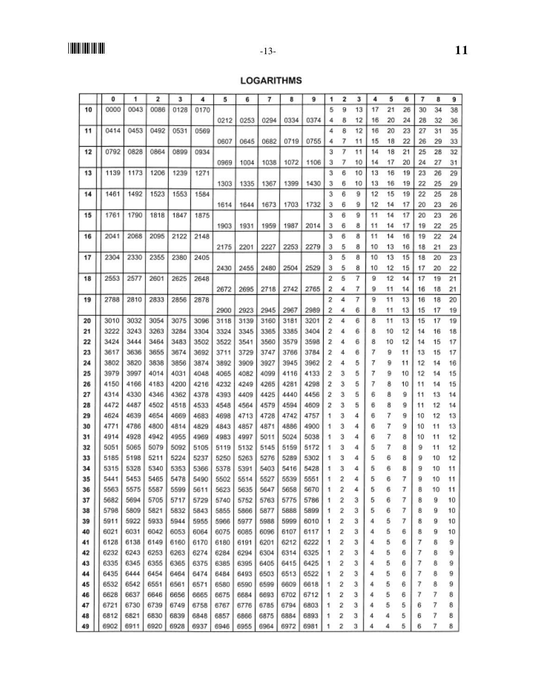## **LOGARITHMS**

|    | 0    | 1    | 2    | 3    | 4    | 5    | 6    | 7    | 8    | 9    | 1 | 2 | з  | 4  | 5  | 6  | 7  | 8        | 9  |
|----|------|------|------|------|------|------|------|------|------|------|---|---|----|----|----|----|----|----------|----|
| 10 | 0000 | 0043 | 0086 | 0128 | 0170 |      |      |      |      |      | 5 | 9 | 13 | 17 | 21 | 26 | 30 | 34       | 38 |
|    |      |      |      |      |      | 0212 | 0253 | 0294 | 0334 | 0374 | 4 | 8 | 12 | 16 | 20 | 24 | 28 | 32       | 36 |
| 11 | 0414 | 0453 | 0492 | 0531 | 0569 |      |      |      |      |      | 4 | 8 | 12 | 16 | 20 | 23 | 27 | 31       | 35 |
|    |      |      |      |      |      | 0607 | 0645 | 0682 | 0719 | 0755 | 4 | 7 | 11 | 15 | 18 | 22 | 26 | 29       | 33 |
| 12 | 0792 | 0828 | 0864 | 0899 | 0934 |      |      |      |      |      | з | 7 | 11 | 14 | 18 | 21 | 25 | 28       | 32 |
|    |      |      |      |      |      | 0969 | 1004 | 1038 | 1072 | 1106 | з | 7 | 10 | 14 | 17 | 20 | 24 | 27       | 31 |
| 13 | 1139 | 1173 | 1206 | 1239 | 1271 |      |      |      |      |      | з | 6 | 10 | 13 | 16 | 19 | 23 | 26       | 29 |
|    |      |      |      |      |      | 1303 | 1335 | 1367 | 1399 | 1430 | 3 | 6 | 10 | 13 | 16 | 19 | 22 | 25       | 29 |
| 14 | 1461 | 1492 | 1523 | 1553 | 1584 |      |      |      |      |      | 3 | 6 | 9  | 12 | 15 | 19 | 22 | 25       | 28 |
|    |      |      |      |      |      | 1614 | 1644 | 1673 | 1703 | 1732 | 3 | 6 | 9  | 12 | 14 | 17 | 20 | 23       | 26 |
| 15 | 1761 | 1790 | 1818 | 1847 | 1875 |      |      |      |      |      | 3 | 6 | 9  | 11 | 14 | 17 | 20 | 23       | 26 |
|    |      |      |      |      |      | 1903 | 1931 | 1959 | 1987 | 2014 | з | 6 | 8  | 11 | 14 | 17 | 19 | 22       | 25 |
| 16 | 2041 | 2068 | 2095 | 2122 | 2148 |      |      |      |      |      | з | 6 | 8  | 11 | 14 | 16 | 19 | 22       | 24 |
|    |      |      |      |      |      | 2175 | 2201 | 2227 | 2253 | 2279 | з | 5 | 8  | 10 | 13 | 16 | 18 | 21       | 23 |
| 17 | 2304 | 2330 | 2355 | 2380 | 2405 |      |      |      |      |      | з | 5 | 8  | 10 | 13 | 15 | 18 | 20       | 23 |
|    |      |      |      |      |      | 2430 | 2455 | 2480 | 2504 | 2529 | з | 5 | 8  | 10 | 12 | 15 | 17 | 20       | 22 |
| 18 | 2553 | 2577 | 2601 | 2625 | 2648 |      |      |      |      |      | 2 | 5 | 7  | 9  | 12 | 14 | 17 | 19       | 21 |
|    |      |      |      |      |      | 2672 | 2695 | 2718 | 2742 | 2765 | 2 | 4 | 7  | 9  | 11 | 14 | 16 | 18       | 21 |
| 19 | 2788 | 2810 | 2833 | 2856 | 2878 |      |      |      |      |      | 2 | 4 | 7  | 9  | 11 | 13 | 16 | 18       | 20 |
|    |      |      |      |      |      | 2900 | 2923 | 2945 | 2967 | 2989 | 2 | 4 | 6  | 8  | 11 | 13 | 15 | 17       | 19 |
| 20 | 3010 | 3032 | 3054 | 3075 | 3096 | 3118 | 3139 | 3160 | 3181 | 3201 | 2 | 4 | 6  | 8  | 11 | 13 | 15 | 17       | 19 |
| 21 | 3222 | 3243 | 3263 | 3284 | 3304 | 3324 | 3345 | 3365 | 3385 | 3404 | 2 | 4 | 6  | 8  | 10 | 12 | 14 | 16       | 18 |
| 22 | 3424 | 3444 | 3464 | 3483 | 3502 | 3522 | 3541 | 3560 | 3579 | 3598 | 2 | 4 | 6  | 8  | 10 | 12 | 14 | 15       | 17 |
| 23 | 3617 | 3636 | 3655 | 3674 | 3692 | 3711 | 3729 | 3747 | 3766 | 3784 | 2 | 4 | 6  | 7  | 9  | 11 | 13 | 15       | 17 |
| 24 | 3802 | 3820 | 3838 | 3856 | 3874 | 3892 | 3909 | 3927 | 3945 | 3962 | 2 | 4 | 5  | 7  | 9  | 11 | 12 |          | 16 |
| 25 | 3979 | 3997 | 4014 | 4031 | 4048 | 4065 | 4082 | 4099 |      | 4133 | 2 | 3 | 5  | 7  | 9  | 10 | 12 | 14<br>14 | 15 |
|    | 4150 | 4166 | 4183 |      |      |      |      |      | 4116 |      | 2 | 3 |    | 7  | 8  |    |    |          |    |
| 26 |      | 4330 |      | 4200 | 4216 | 4232 | 4249 | 4265 | 4281 | 4298 |   |   | 5  |    |    | 10 | 11 | 14       | 15 |
| 27 | 4314 |      | 4346 | 4362 | 4378 | 4393 | 4409 | 4425 | 4440 | 4456 | 2 | з | 5  | 6  | 8  | 9  | 11 | 13       | 14 |
| 28 | 4472 | 4487 | 4502 | 4518 | 4533 | 4548 | 4564 | 4579 | 4594 | 4609 | 2 | з | 5  | 6  | 8  | 9  | 11 | 12       | 14 |
| 29 | 4624 | 4639 | 4654 | 4669 | 4683 | 4698 | 4713 | 4728 | 4742 | 4757 | 1 | з | 4  | 6  | 7  | 9  | 10 | 12       | 13 |
| 30 | 4771 | 4786 | 4800 | 4814 | 4829 | 4843 | 4857 | 4871 | 4886 | 4900 | 1 | з | 4  | 6  | 7  | 9  | 10 | 11       | 13 |
| 31 | 4914 | 4928 | 4942 | 4955 | 4969 | 4983 | 4997 | 5011 | 5024 | 5038 | 1 | з | 4  | 6  | 7  | 8  | 10 | 11       | 12 |
| 32 | 5051 | 5065 | 5079 | 5092 | 5105 | 5119 | 5132 | 5145 | 5159 | 5172 | 1 | з | 4  | 5  | 7  | 8  | 9  | 11       | 12 |
| 33 | 5185 | 5198 | 5211 | 5224 | 5237 | 5250 | 5263 | 5276 | 5289 | 5302 | 1 | з | 4  | 5  | 6  | 8  | 9  | 10       | 12 |
| 34 | 5315 | 5328 | 5340 | 5353 | 5366 | 5378 | 5391 | 5403 | 5416 | 5428 | 1 | з | 4  | 5  | 6  | 8  | 9  | 10       | 11 |
| 35 | 5441 | 5453 | 5465 | 5478 | 5490 | 5502 | 5514 | 5527 | 5539 | 5551 |   | 2 | 4  | 5  | 6  | 7  | 9  | 10       | 11 |
| 36 | 5563 | 5575 | 5587 | 5599 | 5611 | 5623 | 5635 | 5647 | 5658 | 5670 | 1 | 2 | 4  | 5  | 6  | 7  | 8  | 10       | 11 |
| 37 | 5682 | 5694 | 5705 | 5717 | 5729 | 5740 | 5752 | 5763 | 5775 | 5786 | 1 | 2 | 3  | 5  | 6  | 7  | 8  | 9        | 10 |
| 38 | 5798 | 5809 | 5821 | 5832 | 5843 | 5855 | 5866 | 5877 | 5888 | 5899 | 1 | 2 | з  | 5  | 6  | 7  | 8  | 9        | 10 |
| 39 | 5911 | 5922 | 5933 | 5944 | 5955 | 5966 | 5977 | 5988 | 5999 | 6010 | 1 | 2 | з  | 4  | 5  | 7  | 8  | 9        | 10 |
| 40 | 6021 | 6031 | 6042 | 6053 | 6064 | 6075 | 6085 | 6096 | 6107 | 6117 | 1 | 2 | з  | 4  | 5  | 6  | 8  | 9        | 10 |
| 41 | 6128 | 6138 | 6149 | 6160 | 6170 | 6180 | 6191 | 6201 | 6212 | 6222 | 1 | 2 | з  | 4  | 5  | 6  | 7  | 8        | 9  |
| 42 | 6232 | 6243 | 6253 | 6263 | 6274 | 6284 | 6294 | 6304 | 6314 | 6325 | 1 | 2 | 3  | 4  | 5  | 6  | 7  | 8        | 9  |
| 43 | 6335 | 6345 | 6355 | 6365 | 6375 | 6385 | 6395 | 6405 | 6415 | 6425 | 1 | 2 | 3  | 4  | 5  | 6  | 7  | 8        | 9  |
| 44 | 6435 | 6444 | 6454 | 6464 | 6474 | 6484 | 6493 | 6503 | 6513 | 6522 | 1 | 2 | 3  | 4  | 5  | 6  | 7  | 8        | 9  |
| 45 | 6532 | 6542 | 6551 | 6561 | 6571 | 6580 | 6590 | 6599 | 6609 | 6618 | 1 | 2 | 3  | 4  | 5  | 6  | 7  | 8        | 9  |
| 46 | 6628 | 6637 | 6646 | 6656 | 6665 | 6675 | 6684 | 6693 | 6702 | 6712 | 1 | 2 | з  | 4  | 5  | 6  | 7  | 7        | 8  |
| 47 | 6721 | 6730 | 6739 | 6749 | 6758 | 6767 | 6776 | 6785 | 6794 | 6803 | 1 | 2 | з  | 4  | 5  | 5  | 6  | 7        | 8  |
| 48 | 6812 | 6821 | 6830 | 6839 | 6848 | 6857 | 6866 | 6875 | 6884 | 6893 | 1 | 2 | з  | 4  | 4  | 5  | 6  | 7        | 8  |
| 49 | 6902 | 6911 | 6920 | 6928 | 6937 | 6946 | 6955 | 6964 | 6972 | 6981 | 1 | 2 | з  | 4  | 4  | 5  | 6  | 7        | 8  |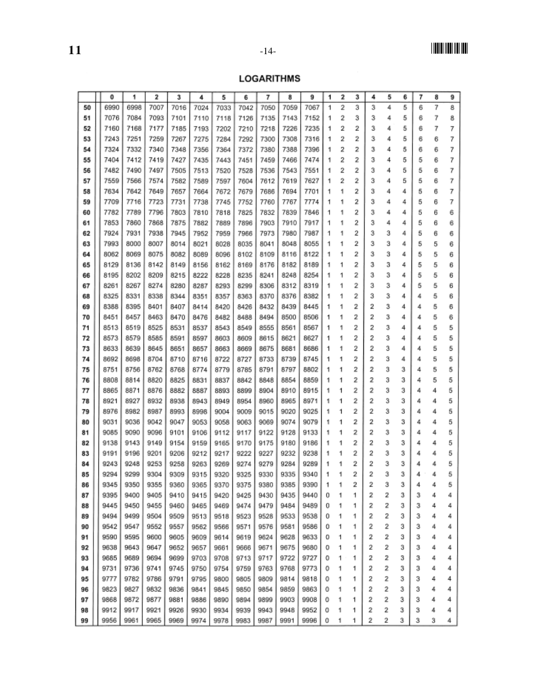# ||**||||**|||||||||||

## **LOGARITHMS**

|    | 0    | 1    | 2    | 3    | 4    | 5    | 6    | 7    | 8    | 9    | 1 | 2 | 3              | 4 | 5 | 6 | 7 | 8 | 9 |
|----|------|------|------|------|------|------|------|------|------|------|---|---|----------------|---|---|---|---|---|---|
| 50 | 6990 | 6998 | 7007 | 7016 | 7024 | 7033 | 7042 | 7050 | 7059 | 7067 | 1 | 2 | 3              | 3 | 4 | 5 | 6 | 7 | 8 |
| 51 | 7076 | 7084 | 7093 | 7101 | 7110 | 7118 | 7126 | 7135 | 7143 | 7152 | 1 | 2 | 3              | 3 | 4 | 5 | 6 | 7 | 8 |
| 52 | 7160 | 7168 | 7177 | 7185 | 7193 | 7202 | 7210 | 7218 | 7226 | 7235 | 1 | 2 | 2              | 3 | 4 | 5 | 6 | 7 | 7 |
| 53 | 7243 | 7251 | 7259 | 7267 | 7275 | 7284 | 7292 | 7300 | 7308 | 7316 | 1 | 2 | 2              | 3 | 4 | 5 | 6 | 6 | 7 |
| 54 | 7324 | 7332 | 7340 | 7348 | 7356 | 7364 | 7372 | 7380 | 7388 | 7396 | 1 | 2 | 2              | з | 4 | 5 | 6 | 6 | 7 |
| 55 | 7404 | 7412 | 7419 | 7427 | 7435 | 7443 | 7451 | 7459 | 7466 | 7474 | 1 | 2 | 2              | з | 4 | 5 | 5 | 6 | 7 |
| 56 | 7482 | 7490 | 7497 | 7505 | 7513 | 7520 | 7528 | 7536 | 7543 | 7551 | 1 | 2 | $\overline{c}$ | з | 4 | 5 | 5 | 6 | 7 |
| 57 | 7559 | 7566 | 7574 | 7582 | 7589 | 7597 | 7604 | 7612 | 7619 | 7627 | 1 | 2 | 2              | з | 4 | 5 | 5 | 6 | 7 |
| 58 | 7634 | 7642 | 7649 | 7657 | 7664 | 7672 | 7679 | 7686 | 7694 | 7701 | 1 | 1 | 2              | з | 4 | 4 | 5 | 6 | 7 |
| 59 | 7709 | 7716 | 7723 | 7731 | 7738 | 7745 | 7752 | 7760 | 7767 | 7774 | 1 | 1 | 2              | з | 4 | 4 | 5 | 6 | 7 |
| 60 | 7782 | 7789 | 7796 | 7803 | 7810 | 7818 | 7825 | 7832 | 7839 | 7846 | 1 | 1 | 2              | 3 | 4 | 4 | 5 | 6 | 6 |
| 61 | 7853 | 7860 | 7868 | 7875 | 7882 | 7889 | 7896 | 7903 | 7910 | 7917 | 1 | 1 | 2              | 3 | 4 | 4 | 5 | 6 | 6 |
| 62 | 7924 | 7931 | 7938 | 7945 | 7952 | 7959 | 7966 | 7973 | 7980 | 7987 | 1 | 1 | 2              | 3 | 3 | 4 | 5 | 6 | 6 |
| 63 | 7993 | 8000 | 8007 | 8014 | 8021 | 8028 | 8035 | 8041 | 8048 | 8055 | 1 | 1 | 2              | 3 | 3 | 4 | 5 | 5 | 6 |
| 64 | 8062 | 8069 | 8075 | 8082 | 8089 | 8096 | 8102 | 8109 | 8116 | 8122 | 1 | 1 | 2              | 3 | 3 | 4 | 5 | 5 | 6 |
| 65 | 8129 | 8136 | 8142 | 8149 | 8156 | 8162 | 8169 | 8176 | 8182 | 8189 | 1 | 1 | 2              | 3 | з | 4 | 5 | 5 | 6 |
| 66 | 8195 | 8202 | 8209 | 8215 | 8222 | 8228 | 8235 | 8241 | 8248 | 8254 | 1 | 1 | 2              | 3 | з | 4 | 5 | 5 | 6 |
| 67 | 8261 | 8267 | 8274 | 8280 | 8287 | 8293 | 8299 | 8306 | 8312 | 8319 | 1 | 1 | 2              | З | 3 | 4 | 5 | 5 | 6 |
| 68 | 8325 | 8331 | 8338 | 8344 | 8351 | 8357 | 8363 | 8370 | 8376 | 8382 | 1 | 1 | 2              | 3 | 3 | 4 | 4 | 5 | 6 |
| 69 | 8388 | 8395 | 8401 | 8407 | 8414 | 8420 | 8426 | 8432 | 8439 | 8445 | 1 | 1 | 2              | 2 | 3 | 4 | 4 | 5 | 6 |
| 70 | 8451 | 8457 | 8463 | 8470 | 8476 | 8482 | 8488 | 8494 | 8500 | 8506 | 1 | 1 | 2              | 2 | 3 | 4 | 4 | 5 | 6 |
| 71 | 8513 | 8519 | 8525 | 8531 | 8537 | 8543 | 8549 | 8555 | 8561 | 8567 | 1 | 1 | 2              | 2 | 3 | 4 | 4 | 5 | 5 |
| 72 | 8573 | 8579 | 8585 | 8591 | 8597 | 8603 | 8609 | 8615 | 8621 | 8627 | 1 | 1 | 2              | 2 | 3 | 4 | 4 | 5 | 5 |
| 73 | 8633 | 8639 | 8645 | 8651 | 8657 | 8663 | 8669 | 8675 | 8681 | 8686 | 1 | 1 | 2              | 2 | з | 4 | 4 | 5 | 5 |
| 74 | 8692 | 8698 | 8704 | 8710 | 8716 | 8722 | 8727 | 8733 | 8739 | 8745 | 1 | 1 | 2              | 2 | 3 | 4 | 4 | 5 | 5 |
| 75 | 8751 | 8756 | 8762 | 8768 | 8774 | 8779 | 8785 | 8791 | 8797 | 8802 | 1 | 1 | 2              | 2 | 3 | 3 | 4 | 5 | 5 |
| 76 | 8808 | 8814 | 8820 | 8825 | 8831 | 8837 | 8842 | 8848 | 8854 | 8859 | 1 | 1 | 2              | 2 | 3 | з | 4 | 5 | 5 |
| 77 | 8865 | 8871 | 8876 | 8882 | 8887 | 8893 | 8899 | 8904 | 8910 | 8915 | 1 | 1 | 2              | 2 | 3 | З | 4 | 4 | 5 |
| 78 | 8921 | 8927 | 8932 | 8938 | 8943 | 8949 | 8954 | 8960 | 8965 | 8971 | 1 | 1 | 2              | 2 | 3 | 3 | 4 | 4 | 5 |
| 79 | 8976 | 8982 | 8987 | 8993 | 8998 | 9004 | 9009 | 9015 | 9020 | 9025 | 1 | 1 | 2              | 2 | 3 | 3 | 4 | 4 | 5 |
| 80 | 9031 | 9036 | 9042 | 9047 | 9053 | 9058 | 9063 | 9069 | 9074 | 9079 | 1 | 1 | 2              | 2 | 3 | 3 | 4 | 4 | 5 |
| 81 | 9085 | 9090 | 9096 | 9101 | 9106 | 9112 | 9117 | 9122 | 9128 | 9133 | 1 | 1 | 2              | 2 | 3 | з | 4 | 4 | 5 |
| 82 | 9138 | 9143 | 9149 | 9154 | 9159 | 9165 | 9170 | 9175 | 9180 | 9186 | 1 | 1 | 2              | 2 | 3 | 3 | 4 | 4 | 5 |
| 83 | 9191 | 9196 | 9201 | 9206 | 9212 | 9217 | 9222 | 9227 | 9232 | 9238 | 1 | 1 | 2              | 2 | 3 | 3 | 4 | 4 | 5 |
| 84 | 9243 | 9248 | 9253 | 9258 | 9263 | 9269 | 9274 | 9279 | 9284 | 9289 | 1 | 1 | 2              | 2 | 3 | 3 | 4 | 4 | 5 |
| 85 | 9294 | 9299 | 9304 | 9309 | 9315 | 9320 | 9325 | 9330 | 9335 | 9340 | 1 | 1 | 2              | 2 | 3 | з | 4 | 4 | 5 |
| 86 | 9345 | 9350 | 9355 | 9360 | 9365 | 9370 | 9375 | 9380 | 9385 | 9390 |   |   |                |   | 3 | 3 | 4 |   |   |
| 87 | 9395 | 9400 | 9405 | 9410 | 9415 | 9420 | 9425 | 9430 | 9435 | 9440 | 0 | 1 | 1              | 2 | 2 | з | з | 4 | 4 |
| 88 | 9445 | 9450 | 9455 | 9460 | 9465 | 9469 | 9474 | 9479 | 9484 | 9489 | 0 | 1 | 1              | 2 | 2 | з | 3 | 4 | 4 |
| 89 | 9494 | 9499 | 9504 | 9509 | 9513 | 9518 | 9523 | 9528 | 9533 | 9538 | 0 | 1 | 1              | 2 | 2 | з | з | 4 | 4 |
| 90 | 9542 | 9547 | 9552 | 9557 | 9562 | 9566 | 9571 | 9576 | 9581 | 9586 | 0 | 1 | 1              | 2 | 2 | з | з | 4 | 4 |
| 91 | 9590 | 9595 | 9600 | 9605 | 9609 | 9614 | 9619 | 9624 | 9628 | 9633 | 0 | 1 | 1              | 2 | 2 | 3 | з | 4 | 4 |
| 92 | 9638 | 9643 | 9647 | 9652 | 9657 | 9661 | 9666 | 9671 | 9675 | 9680 | 0 | 1 | 1              | 2 | 2 | з | з | 4 | 4 |
| 93 | 9685 | 9689 | 9694 | 9699 | 9703 | 9708 | 9713 | 9717 | 9722 | 9727 | 0 | 1 | 1              | 2 | 2 | 3 | з | 4 | 4 |
| 94 | 9731 | 9736 | 9741 | 9745 | 9750 | 9754 | 9759 | 9763 | 9768 | 9773 | 0 | 1 | 1              | 2 | 2 | з | з | 4 | 4 |
| 95 | 9777 | 9782 | 9786 | 9791 | 9795 | 9800 | 9805 | 9809 | 9814 | 9818 | 0 | 1 | 1              | 2 | 2 | 3 | з | 4 | 4 |
| 96 | 9823 | 9827 | 9832 | 9836 | 9841 | 9845 | 9850 | 9854 | 9859 | 9863 | 0 | 1 | 1              | 2 | 2 | 3 | 3 | 4 | 4 |
| 97 | 9868 | 9872 | 9877 | 9881 | 9886 | 9890 | 9894 | 9899 | 9903 | 9908 | 0 | 1 | 1              | 2 | 2 | 3 | 3 | 4 | 4 |
| 98 | 9912 | 9917 | 9921 | 9926 | 9930 | 9934 | 9939 | 9943 | 9948 | 9952 | 0 | 1 | 1              | 2 | 2 | 3 | з | 4 | 4 |
| 99 | 9956 | 9961 | 9965 | 9969 | 9974 | 9978 | 9983 | 9987 | 9991 | 9996 | 0 | 1 | 1              | 2 | 2 | 3 | 3 | 3 | 4 |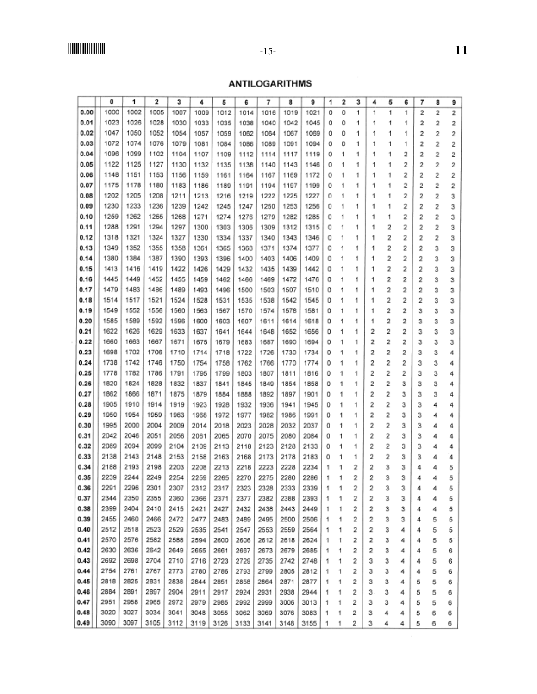## **ANTILOGARITHMS**

|      |      |      | 2    | 3    | 4    | 5    | 6    | 7    | 8    | 9    | 1 | 2 | 3 | 4 | 5 | 6 | 7 | 8 | 9 |  |
|------|------|------|------|------|------|------|------|------|------|------|---|---|---|---|---|---|---|---|---|--|
| 0.00 | 1000 | 1002 | 1005 | 1007 | 1009 | 1012 | 1014 | 1016 | 1019 | 1021 | 0 | 0 | 1 | 1 | 1 | 1 | 2 | 2 | 2 |  |
| 0.01 | 1023 | 1026 | 1028 | 1030 | 1033 | 1035 | 1038 | 1040 | 1042 | 1045 | 0 | 0 | 1 | 1 | 1 | 1 | 2 | 2 | 2 |  |
| 0.02 | 1047 | 1050 | 1052 | 1054 | 1057 | 1059 | 1062 | 1064 | 1067 | 1069 | o | 0 | 1 | 1 | 1 | 1 | 2 | 2 | 2 |  |
| 0.03 | 1072 | 1074 | 1076 | 1079 | 1081 | 1084 | 1086 | 1089 | 1091 | 1094 | ٥ | 0 | 1 | 1 | 1 | 1 | 2 | 2 | 2 |  |
| 0.04 | 1096 | 1099 | 1102 | 1104 | 1107 | 1109 | 1112 | 1114 | 1117 | 1119 | 0 | 1 | 1 | 1 | 1 | 2 | 2 | 2 | 2 |  |
| 0.05 | 1122 | 1125 | 1127 | 1130 | 1132 | 1135 | 1138 | 1140 | 1143 | 1146 | 0 | 1 | 1 | 1 | 1 | 2 | 2 | 2 | 2 |  |
| 0.06 | 1148 | 1151 | 1153 | 1156 | 1159 | 1161 | 1164 | 1167 | 1169 | 1172 | 0 | 1 | 1 | 1 | 1 | 2 | 2 | 2 | 2 |  |
| 0.07 | 1175 | 1178 | 1180 | 1183 | 1186 | 1189 | 1191 | 1194 | 1197 | 1199 | 0 | 1 | 1 | 1 | 1 | 2 | 2 | 2 | 2 |  |
| 0.08 | 1202 | 1205 | 1208 | 1211 | 1213 | 1216 | 1219 | 1222 | 1225 | 1227 | Ű | 1 | 1 | 1 | 1 | 2 | 2 | 2 | 3 |  |
| 0.09 | 1230 | 1233 | 1236 | 1239 | 1242 | 1245 | 1247 | 1250 | 1253 | 1256 | o | 1 | 1 | 1 | 1 | 2 | 2 | 2 | 3 |  |
| 0.10 | 1259 | 1262 | 1265 | 1268 | 1271 | 1274 | 1276 | 1279 | 1282 | 1285 | ٥ | 1 | 1 | 1 | 1 | 2 | 2 | 2 | 3 |  |
| 0.11 | 1288 | 1291 | 1294 | 1297 | 1300 | 1303 | 1306 | 1309 | 1312 | 1315 | 0 | 1 | 1 | 1 | 2 | 2 | 2 | 2 | 3 |  |
| 0.12 | 1318 | 1321 | 1324 | 1327 | 1330 | 1334 | 1337 | 1340 | 1343 | 1346 | 0 | 1 | 1 | 1 | 2 | 2 | 2 | 2 | 3 |  |
| 0.13 | 1349 | 1352 | 1355 | 1358 | 1361 | 1365 | 1368 | 1371 | 1374 | 1377 | 0 | 1 | 1 | 1 | 2 | 2 | 2 | 3 | 3 |  |
| 0.14 | 1380 | 1384 | 1387 | 1390 | 1393 | 1396 | 1400 | 1403 | 1406 | 1409 | 0 | 1 | 1 | 1 | 2 | 2 | 2 | 3 | 3 |  |
| 0.15 | 1413 | 1416 | 1419 | 1422 | 1426 | 1429 | 1432 | 1435 | 1439 | 1442 | 0 | 1 | 1 | 1 | 2 | 2 | 2 | 3 | 3 |  |
| 0.16 | 1445 | 1449 | 1452 | 1455 | 1459 | 1462 | 1466 | 1469 | 1472 | 1476 | ٥ | 1 | 1 | 1 | 2 | 2 | 2 | 3 | 3 |  |
| 0.17 | 1479 | 1483 | 1486 | 1489 | 1493 | 1496 | 1500 | 1503 | 1507 | 1510 | 0 | 1 | 1 | 1 | 2 | 2 | 2 | з | з |  |
| 0.18 | 1514 | 1517 | 1521 | 1524 | 1528 | 1531 | 1535 | 1538 | 1542 | 1545 | 0 | 1 | 1 | 1 | 2 | 2 | 2 | з | з |  |
| 0.19 | 1549 | 1552 | 1556 | 1560 | 1563 | 1567 | 1570 | 1574 | 1578 | 1581 | 0 | 1 | 1 | 1 | 2 | 2 | 3 | 3 | з |  |
| 0.20 | 1585 | 1589 | 1592 | 1596 | 1600 | 1603 | 1607 | 1611 | 1614 | 1618 | 0 | 1 | 1 | 1 | 2 | 2 | з | 3 | з |  |
| 0.21 | 1622 | 1626 | 1629 | 1633 | 1637 | 1641 | 1644 | 1648 | 1652 | 1656 | 0 | 1 | 1 | 2 | 2 | 2 | 3 | 3 | з |  |
| 0.22 | 1660 | 1663 | 1667 | 1671 | 1675 | 1679 | 1683 | 1687 | 1690 | 1694 | 0 | 1 | 1 | 2 | 2 | 2 | з | 3 | з |  |
| 0.23 | 1698 | 1702 | 1706 | 1710 | 1714 | 1718 | 1722 | 1726 | 1730 | 1734 | 0 | 1 | 1 | 2 | 2 | 2 | з | 3 | 4 |  |
| 0.24 | 1738 | 1742 | 1746 | 1750 | 1754 | 1758 | 1762 | 1766 | 1770 | 1774 | 0 | 1 | 1 | 2 | 2 | 2 | 3 | 3 | 4 |  |
| 0.25 | 1778 | 1782 | 1786 | 1791 | 1795 | 1799 | 1803 | 1807 | 1811 | 1816 | 0 | 1 | 1 | 2 | 2 | 2 | з | 3 | 4 |  |
| 0.26 | 1820 | 1824 | 1828 | 1832 | 1837 | 1841 | 1845 | 1849 | 1854 | 1858 | 0 | 1 | 1 | 2 | 2 | 3 | 3 | 3 | 4 |  |
| 0.27 | 1862 | 1866 | 1871 | 1875 | 1879 | 1884 | 1888 | 1892 | 1897 | 1901 | ٥ | 1 | 1 | 2 | 2 | з | 3 | 3 | 4 |  |
| 0.28 | 1905 | 1910 | 1914 | 1919 | 1923 | 1928 | 1932 | 1936 | 1941 | 1945 | ٥ | 1 | 1 | 2 | 2 | з | 3 | 4 | 4 |  |
| 0.29 | 1950 | 1954 | 1959 | 1963 | 1968 | 1972 | 1977 | 1982 | 1986 | 1991 | 0 | 1 | 1 | 2 | 2 | з | 3 | 4 | 4 |  |
| 0.30 | 1995 | 2000 | 2004 | 2009 | 2014 | 2018 | 2023 | 2028 | 2032 | 2037 | 0 | 1 | 1 | 2 | 2 | 3 | 3 | 4 | 4 |  |
| 0.31 | 2042 | 2046 | 2051 | 2056 | 2061 | 2065 | 2070 | 2075 | 2080 | 2084 | 0 | 1 | 1 | 2 | 2 | з | з | 4 | 4 |  |
| 0.32 | 2089 | 2094 | 2099 | 2104 | 2109 | 2113 | 2118 | 2123 | 2128 | 2133 | 0 | 1 | 1 | 2 | 2 | 3 | з | 4 | 4 |  |
| 0.33 | 2138 | 2143 | 2148 | 2153 | 2158 | 2163 | 2168 | 2173 | 2178 | 2183 | 0 | 1 | 1 | 2 | 2 | з | з | 4 | 4 |  |
| 0.34 | 2188 | 2193 | 2198 | 2203 | 2208 | 2213 | 2218 | 2223 | 2228 | 2234 | 1 | 1 | 2 | 2 | 3 | 3 | 4 | 4 | 5 |  |
| 0.35 | 2239 | 2244 | 2249 | 2254 | 2259 | 2265 | 2270 | 2275 | 2280 | 2286 | 1 | 1 | 2 | 2 | 3 | 3 | 4 | 4 | 5 |  |
| 0.36 | 2291 | 2296 | 2301 | 2307 | 2312 | 2317 | 2323 | 2328 | 2333 | 2339 | 1 | 1 | 2 |   | 3 | 3 | 4 | 4 | ц |  |
| 0.37 | 2344 | 2350 | 2355 | 2360 | 2366 | 2371 | 2377 | 2382 | 2388 | 2393 | 1 | 1 | 2 | 2 | 3 | 3 | 4 | 4 | 5 |  |
| 0.38 | 2399 | 2404 | 2410 | 2415 | 2421 | 2427 | 2432 | 2438 | 2443 | 2449 | 1 | 1 | 2 | 2 | 3 | з | 4 | 4 | 5 |  |
| 0.39 | 2455 | 2460 | 2466 | 2472 | 2477 | 2483 | 2489 | 2495 | 2500 | 2506 | 1 | 1 | 2 | 2 | 3 | з | 4 | 5 | 5 |  |
| 0.40 | 2512 | 2518 | 2523 | 2529 | 2535 | 2541 | 2547 | 2553 | 2559 | 2564 | 1 | 1 | 2 | 2 | 3 | 4 | 4 | 5 | 5 |  |
| 0.41 | 2570 | 2576 | 2582 | 2588 | 2594 | 2600 | 2606 | 2612 | 2618 | 2624 | 1 | 1 | 2 | 2 | 3 | 4 | 4 | 5 | 5 |  |
| 0.42 | 2630 | 2636 | 2642 | 2649 | 2655 | 2661 | 2667 | 2673 | 2679 | 2685 | 1 | 1 | 2 | 2 | з | 4 | 4 | 5 | 6 |  |
| 0.43 | 2692 | 2698 | 2704 | 2710 | 2716 | 2723 | 2729 | 2735 | 2742 | 2748 | 1 | 1 | 2 | з | 3 | 4 | 4 | 5 | 6 |  |
| 0.44 | 2754 | 2761 | 2767 | 2773 | 2780 | 2786 | 2793 | 2799 | 2805 | 2812 | 1 | 1 | 2 | з | 3 | 4 | 4 | 5 | 6 |  |
| 0.45 | 2818 | 2825 | 2831 | 2838 | 2844 | 2851 | 2858 | 2864 | 2871 | 2877 | 1 | 1 | 2 | 3 | 3 | 4 | 5 | 5 | 6 |  |
| 0.46 | 2884 | 2891 | 2897 | 2904 | 2911 | 2917 | 2924 | 2931 | 2938 | 2944 | 1 | 1 | 2 | 3 | 3 | 4 | 5 | 5 | 6 |  |
| 0.47 | 2951 | 2958 | 2965 | 2972 | 2979 | 2985 | 2992 | 2999 | 3006 | 3013 | 1 | 1 | 2 | 3 | з | 4 | 5 | 5 | 6 |  |
| 0.48 | 3020 | 3027 | 3034 | 3041 | 3048 | 3055 | 3062 | 3069 | 3076 | 3083 | 1 | 1 | 2 | з | 4 | 4 | 5 | 6 | 6 |  |
| 0.49 | 3090 | 3097 | 3105 | 3112 | 3119 | 3126 | 3133 | 3141 | 3148 | 3155 | 1 | 1 | 2 | 3 | 4 | 4 | 5 | 6 | 6 |  |